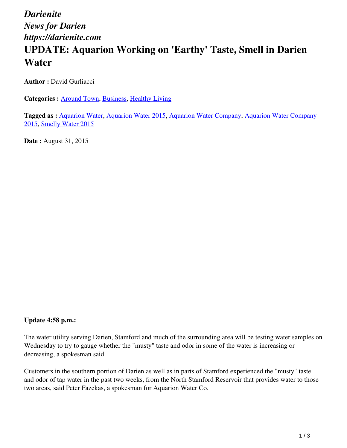# **UPDATE: Aquarion Working on 'Earthy' Taste, Smell in Darien Water**

**Author :** David Gurliacci

**Categories :** [Around Town,](https://darienite.com/category/news/around-town) Business, Healthy Living

**Tagged as :** Aquarion Water, Aquarion Water 2015, Aquarion Water Company, Aquarion Water Company 2015, Smelly Water 2015

**Date :** August 31, 2015

### **Update 4:58 p.m.:**

The water utility serving Darien, Stamford and much of the surrounding area will be testing water samples on Wednesday to try to gauge whether the "musty" taste and odor in some of the water is increasing or decreasing, a spokesman said.

Customers in the southern portion of Darien as well as in parts of Stamford experienced the "musty" taste and odor of tap water in the past two weeks, from the North Stamford Reservoir that provides water to those two areas, said Peter Fazekas, a spokesman for Aquarion Water Co.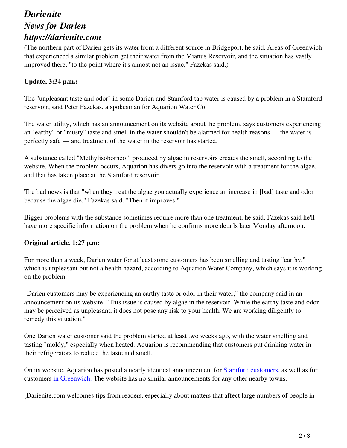## *Darienite News for Darien https://darienite.com*

(The northern part of Darien gets its water from a different source in Bridgeport, he said. Areas of Greenwich that experienced a similar problem get their water from the Mianus Reservoir, and the situation has vastly improved there, "to the point where it's almost not an issue," Fazekas said.)

### **Update, 3:34 p.m.:**

The "unpleasant taste and odor" in some Darien and Stamford tap water is caused by a problem in a Stamford reservoir, said Peter Fazekas, a spokesman for Aquarion Water Co.

The water utility, which has an announcement on its website about the problem, says customers experiencing an "earthy" or "musty" taste and smell in the water shouldn't be alarmed for health reasons — the water is perfectly safe — and treatment of the water in the reservoir has started.

A substance called "Methylisoborneol" produced by algae in reservoirs creates the smell, according to the website. When the problem occurs, Aquarion has divers go into the reservoir with a treatment for the algae, and that has taken place at the Stamford reservoir.

The bad news is that "when they treat the algae you actually experience an increase in [bad] taste and odor because the algae die," Fazekas said. "Then it improves."

Bigger problems with the substance sometimes require more than one treatment, he said. Fazekas said he'll have more specific information on the problem when he confirms more details later Monday afternoon.

#### **Original article, 1:27 p.m:**

For more than a week, Darien water for at least some customers has been smelling and tasting "earthy," which is unpleasant but not a health hazard, according to Aquarion Water Company, which says it is working on the problem.

"Darien customers may be experiencing an earthy taste or odor in their water," the company said in an announcement on its website. "This issue is caused by algae in the reservoir. While the earthy taste and odor may be perceived as unpleasant, it does not pose any risk to your health. We are working diligently to remedy this situation."

One Darien water customer said the problem started at least two weeks ago, with the water smelling and tasting "moldy," especially when heated. Aquarion is recommending that customers put drinking water in their refrigerators to reduce the taste and smell.

On its website, Aquarion has posted a nearly identical announcement for **Stamford customers**, as well as for customers in Greenwich. The website has no similar announcements for any other nearby towns.

[Darienite.com welcomes tips from readers, especially about matters that affect large numbers of people in